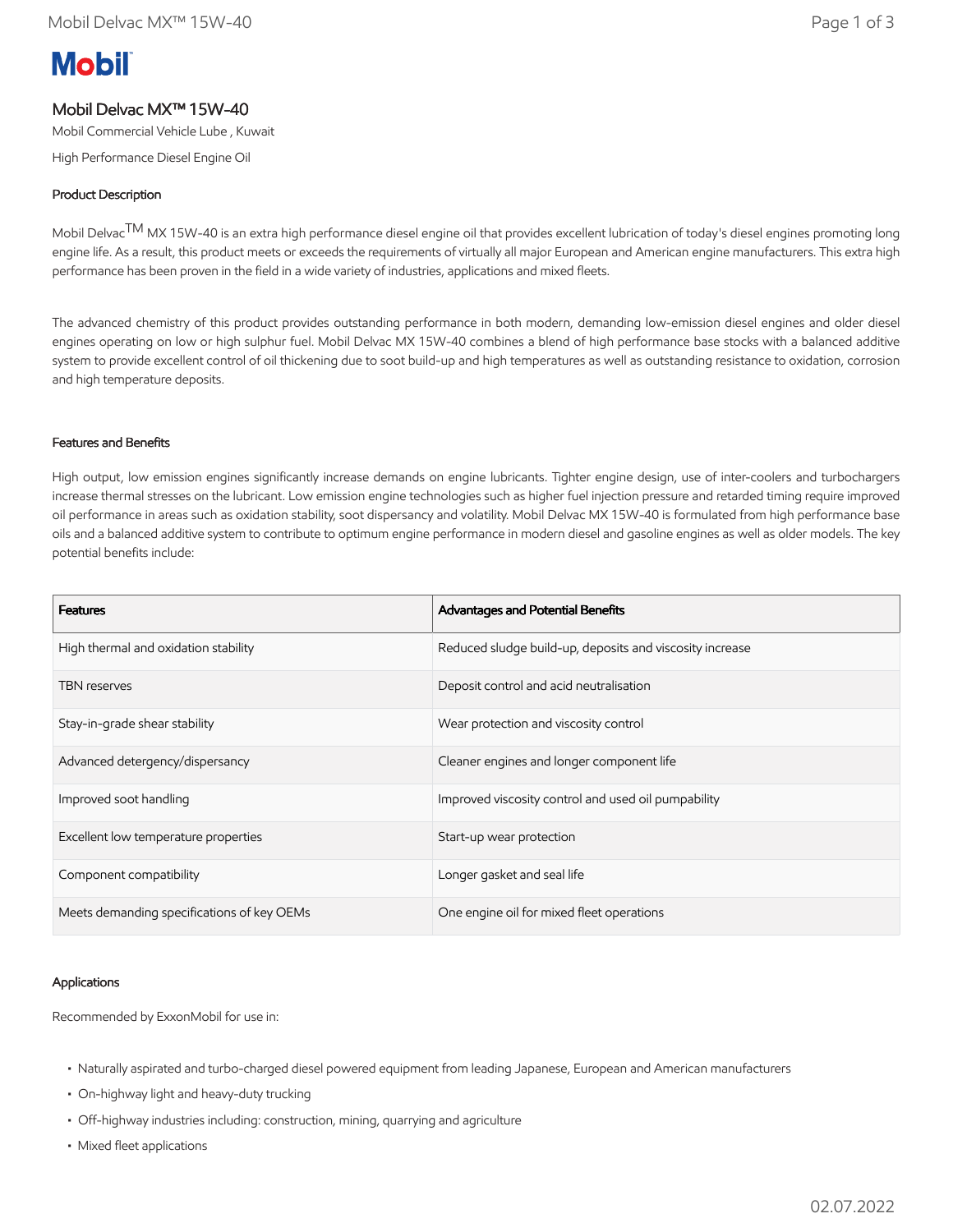# **Mobil**

## Mobil Delvac MX™ 15W-40

Mobil Commercial Vehicle Lube , Kuwait

High Performance Diesel Engine Oil

### Product Description

Mobil Delvac<sup>TM</sup> MX 15W-40 is an extra high performance diesel engine oil that provides excellent lubrication of today's diesel engines promoting long engine life. As a result, this product meets or exceeds the requirements of virtually all major European and American engine manufacturers. This extra high performance has been proven in the field in a wide variety of industries, applications and mixed fleets.

The advanced chemistry of this product provides outstanding performance in both modern, demanding low-emission diesel engines and older diesel engines operating on low or high sulphur fuel. Mobil Delvac MX 15W-40 combines a blend of high performance base stocks with a balanced additive system to provide excellent control of oil thickening due to soot build-up and high temperatures as well as outstanding resistance to oxidation, corrosion and high temperature deposits.

#### Features and Benefits

High output, low emission engines significantly increase demands on engine lubricants. Tighter engine design, use of inter-coolers and turbochargers increase thermal stresses on the lubricant. Low emission engine technologies such as higher fuel injection pressure and retarded timing require improved oil performance in areas such as oxidation stability, soot dispersancy and volatility. Mobil Delvac MX 15W-40 is formulated from high performance base oils and a balanced additive system to contribute to optimum engine performance in modern diesel and gasoline engines as well as older models. The key potential benefits include:

| <b>Features</b>                            | Advantages and Potential Benefits                        |
|--------------------------------------------|----------------------------------------------------------|
| High thermal and oxidation stability       | Reduced sludge build-up, deposits and viscosity increase |
| <b>TBN</b> reserves                        | Deposit control and acid neutralisation                  |
| Stay-in-grade shear stability              | Wear protection and viscosity control                    |
| Advanced detergency/dispersancy            | Cleaner engines and longer component life                |
| Improved soot handling                     | Improved viscosity control and used oil pumpability      |
| Excellent low temperature properties       | Start-up wear protection                                 |
| Component compatibility                    | Longer gasket and seal life                              |
| Meets demanding specifications of key OEMs | One engine oil for mixed fleet operations                |

#### Applications

Recommended by ExxonMobil for use in:

- Naturally aspirated and turbo-charged diesel powered equipment from leading Japanese, European and American manufacturers
- On-highway light and heavy-duty trucking
- Off-highway industries including: construction, mining, quarrying and agriculture
- Mixed fleet applications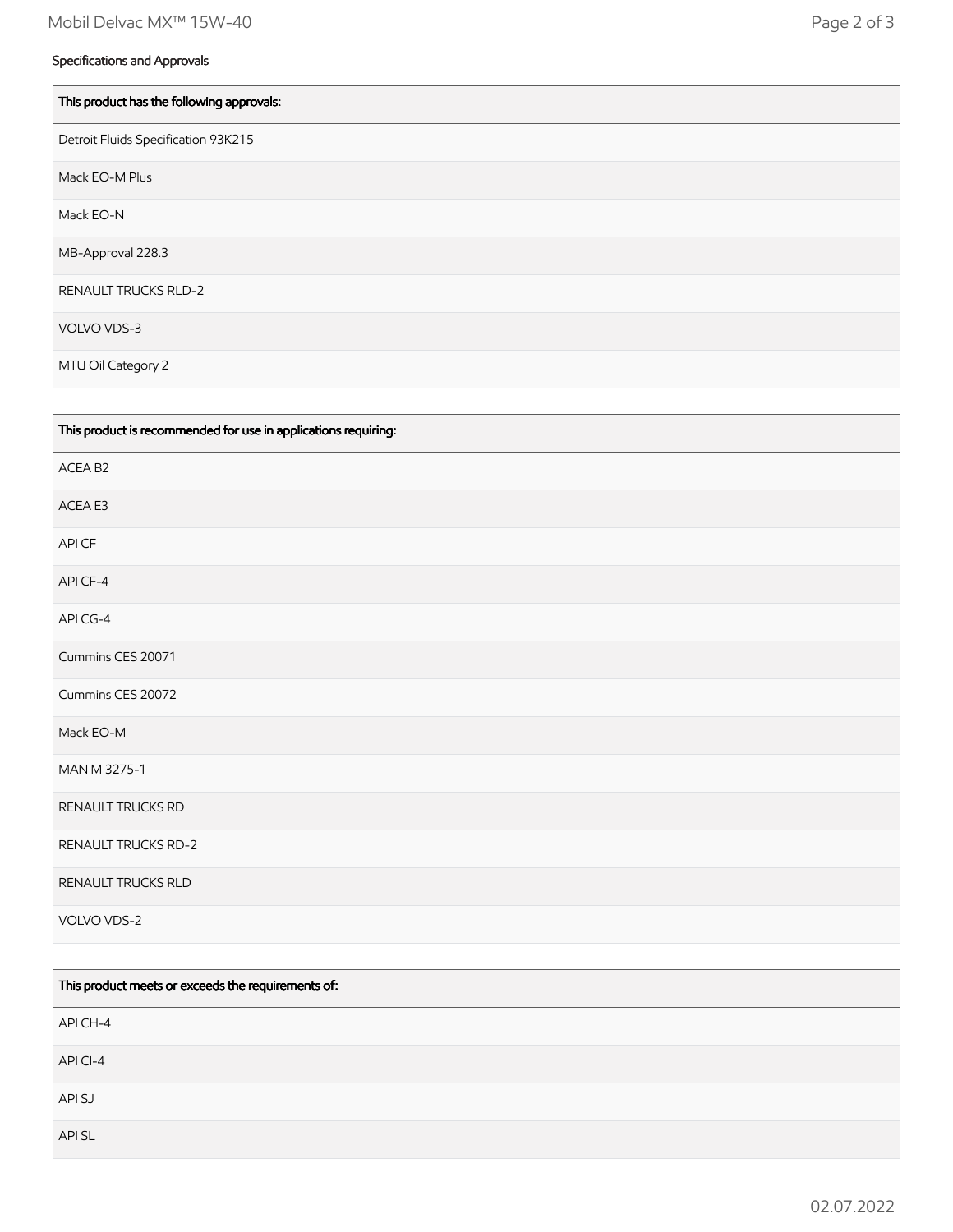| This product has the following approvals: |
|-------------------------------------------|
| Detroit Fluids Specification 93K215       |
| Mack EO-M Plus                            |
| Mack EO-N                                 |
| MB-Approval 228.3                         |
| <b>RENAULT TRUCKS RLD-2</b>               |
| VOLVO VDS-3                               |
| MTU Oil Category 2                        |

| This product is recommended for use in applications requiring: |
|----------------------------------------------------------------|
| ACEA B2                                                        |
| ACEA E3                                                        |
| API CF                                                         |
| API CF-4                                                       |
| API CG-4                                                       |
| Cummins CES 20071                                              |
| Cummins CES 20072                                              |
| Mack EO-M                                                      |
| MAN M 3275-1                                                   |
| RENAULT TRUCKS RD                                              |
| <b>RENAULT TRUCKS RD-2</b>                                     |
| RENAULT TRUCKS RLD                                             |
| VOLVO VDS-2                                                    |

| This product meets or exceeds the requirements of: |  |
|----------------------------------------------------|--|
| API CH-4                                           |  |
| API CI-4                                           |  |
| API SJ                                             |  |
| API SL                                             |  |